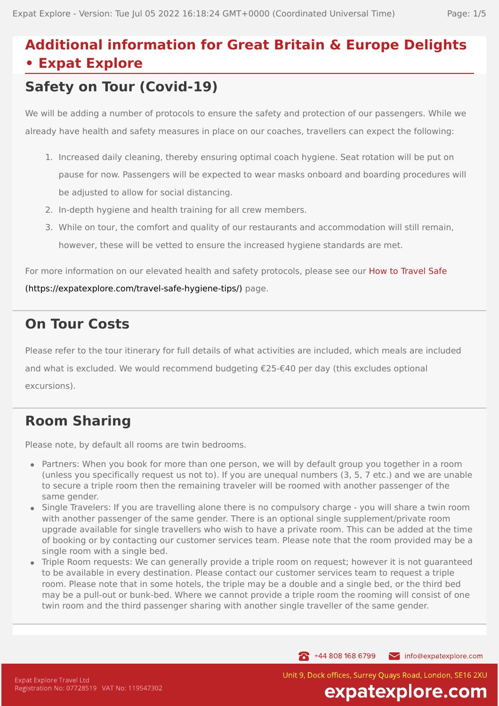# **Additional information for Great Britain & Europe Delights • Expat Explore**

# **Safety on Tour (Covid-19)**

We will be adding a number of protocols to ensure the safety and protection of our passengers. While we already have health and safety measures in place on our coaches, travellers can expect the following:

- 1. Increased daily cleaning, thereby ensuring optimal coach hygiene. Seat rotation will be put on pause for now. Passengers will be expected to wear masks onboard and boarding procedures will be adjusted to allow for social distancing.
- 2. In-depth hygiene and health training for all crew members.
- 3. While on tour, the comfort and quality of our restaurants and accommodation will still remain, however, these will be vetted to ensure the increased hygiene standards are met.

For more information on our elevated health and safety protocols, please see our How to Travel Safe

[\(https://expatexplore.com/travel-safe-hygiene-tips/\)](https://expatexplore.com/travel-safe-hygiene-tips/) page.

## **On Tour Costs**

Please refer to the tour itinerary for full details of what activities are included, which meals are included and what is excluded. We would recommend budgeting €25-€40 per day (this excludes optional excursions).

# **Room Sharing**

Please note, by default all rooms are twin bedrooms.

- Partners: When you book for more than one person, we will by default group you together in a room (unless you specifically request us not to). If you are unequal numbers (3, 5, 7 etc.) and we are unable to secure a triple room then the remaining traveler will be roomed with another passenger of the same gender.
- Single Travelers: If you are travelling alone there is no compulsory charge you will share a twin room with another passenger of the same gender. There is an optional single supplement/private room upgrade available for single travellers who wish to have a private room. This can be added at the time of booking or by contacting our customer services team. Please note that the room provided may be a single room with a single bed.
- Triple Room requests: We can generally provide a triple room on request; however it is not guaranteed to be available in every destination. Please contact our customer services team to request a triple room. Please note that in some hotels, the triple may be a double and a single bed, or the third bed may be a pull-out or bunk-bed. Where we cannot provide a triple room the rooming will consist of one twin room and the third passenger sharing with another single traveller of the same gender.

144 808 168 6799

Unit 9, Dock offices, Surrey Ouays Road, London, SE16 2XU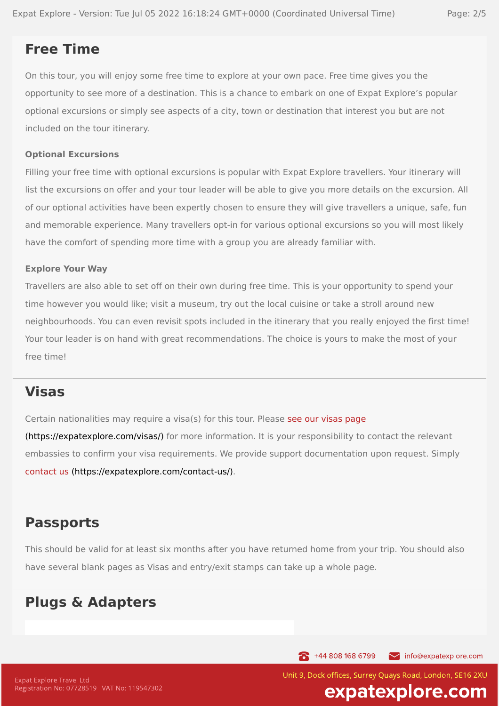## **Free Time**

On this tour, you will enjoy some free time to explore at your own pace. Free time gives you the opportunity to see more of a destination. This is a chance to embark on one of Expat Explore's popular optional excursions or simply see aspects of a city, town or destination that interest you but are not included on the tour itinerary.

### **Optional Excursions**

Filling your free time with optional excursions is popular with Expat Explore travellers. Your itinerary will list the excursions on offer and your tour leader will be able to give you more details on the excursion. All of our optional activities have been expertly chosen to ensure they will give travellers a unique, safe, fun and memorable experience. Many travellers opt-in for various optional excursions so you will most likely have the comfort of spending more time with a group you are already familiar with.

#### **Explore Your Way**

Travellers are also able to set off on their own during free time. This is your opportunity to spend your time however you would like; visit a museum, try out the local cuisine or take a stroll around new neighbourhoods. You can even revisit spots included in the itinerary that you really enjoyed the first time! Your tour leader is on hand with great recommendations. The choice is yours to make the most of your free time!

### **Visas**

Certain nationalities may require a visa(s) for this tour. Please see our visas page [\(https://expatexplore.com/visas/\)](https://expatexplore.com/visas/) for more information. It is your responsibility to contact the relevant embassies to confirm your visa requirements. We provide support documentation upon request. Simply contact us [\(https://expatexplore.com/contact-us/\).](https://expatexplore.com/contact-us/)

## **Passports**

This should be valid for at least six months after you have returned home from your trip. You should also have several blank pages as Visas and entry/exit stamps can take up a whole page.

## **Plugs & Adapters**

144 808 168 6799 info@expatexplore.com

Unit 9, Dock offices, Surrey Ouays Road, London, SE16 2XU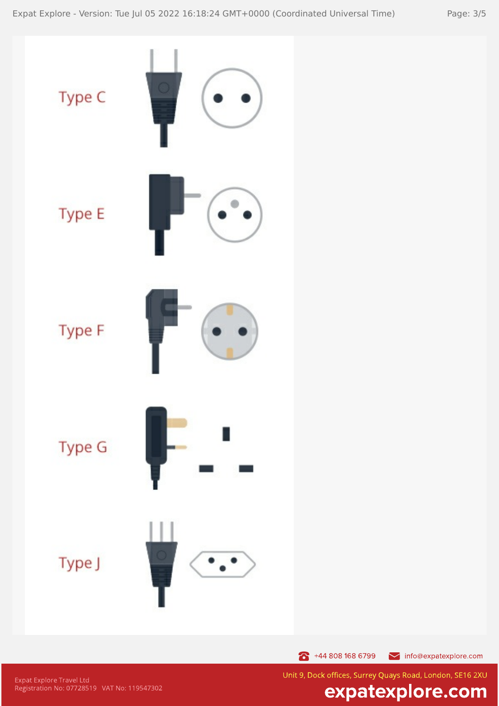

 $\bullet$  +44 808 168 6799 info@expatexplore.com

Expat Explore Travel Ltd<br>Registration No: 07728519 VAT No: 119547302

Unit 9, Dock offices, Surrey Quays Road, London, SE16 2XU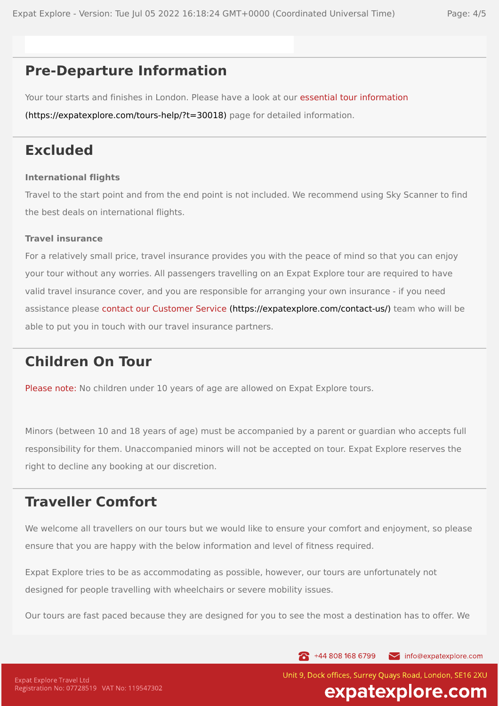## **Pre-Departure Information**

Your tour starts and finishes in London. Please have a look at our essential tour information [\(https://expatexplore.com/tours-help/?t=30018\)](https://expatexplore.com/tours-help/?t=30018) page for detailed information.

### **Excluded**

### **International flights**

Travel to the start point and from the end point is not included. We recommend using Sky Scanner to find the best deals on international flights.

### **Travel insurance**

For a relatively small price, travel insurance provides you with the peace of mind so that you can enjoy your tour without any worries. All passengers travelling on an Expat Explore tour are required to have valid travel insurance cover, and you are responsible for arranging your own insurance - if you need assistance please contact our Customer Service [\(https://expatexplore.com/contact-us/\)](https://expatexplore.com/contact-us/) team who will be able to put you in touch with our travel insurance partners.

## **Children On Tour**

Please note: No children under 10 years of age are allowed on Expat Explore tours.

Minors (between 10 and 18 years of age) must be accompanied by a parent or guardian who accepts full responsibility for them. Unaccompanied minors will not be accepted on tour. Expat Explore reserves the right to decline any booking at our discretion.

## **Traveller Comfort**

We welcome all travellers on our tours but we would like to ensure your comfort and enjoyment, so please ensure that you are happy with the below information and level of fitness required.

Expat Explore tries to be as accommodating as possible, however, our tours are unfortunately not designed for people travelling with wheelchairs or severe mobility issues.

Our tours are fast paced because they are designed for you to see the most a destination has to offer. We

144 808 168 6799 info@expatexplore.com

Unit 9, Dock offices, Surrey Ouays Road, London, SE16 2XU